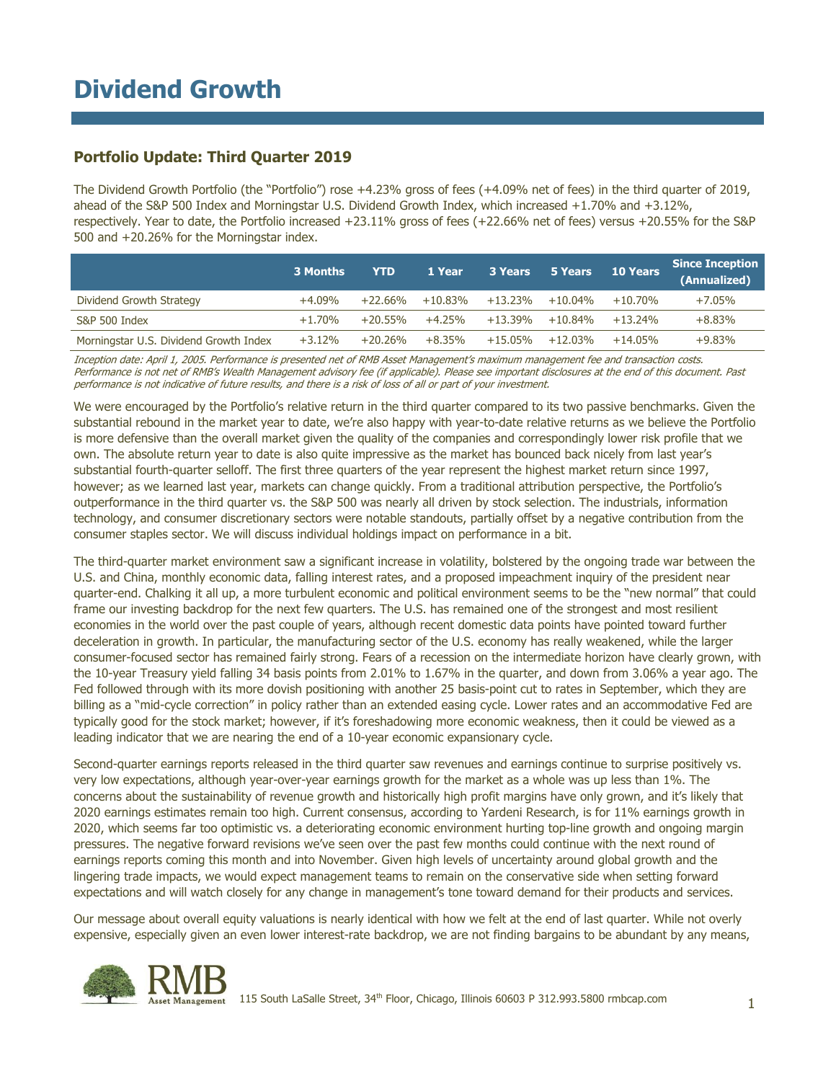### **Portfolio Update: Third Quarter 2019**

The Dividend Growth Portfolio (the "Portfolio") rose +4.23% gross of fees (+4.09% net of fees) in the third quarter of 2019, ahead of the S&P 500 Index and Morningstar U.S. Dividend Growth Index, which increased +1.70% and +3.12%, respectively. Year to date, the Portfolio increased +23.11% gross of fees (+22.66% net of fees) versus +20.55% for the S&P 500 and +20.26% for the Morningstar index.

|                                        | 3 Months  | <b>YTD</b> | 1 Year    | 3 Years    | 5 Years    | <b>10 Years</b> | Since Inception<br>(Annualized) |
|----------------------------------------|-----------|------------|-----------|------------|------------|-----------------|---------------------------------|
| Dividend Growth Strategy               | +4.09%    | +22.66%    | +10.83%   | +13.23%    | $+10.04\%$ | $+10.70\%$      | $+7.05%$                        |
| S&P 500 Index                          | $+1.70\%$ | $+20.55\%$ | +4.25%    | +13.39%    | $+10.84\%$ | $+13.24\%$      | $+8.83\%$                       |
| Morningstar U.S. Dividend Growth Index | $+3.12%$  | $+20.26\%$ | $+8.35\%$ | $+15.05\%$ | $+12.03\%$ | $+14.05\%$      | $+9.83\%$                       |

Inception date: April 1, 2005. Performance is presented net of RMB Asset Management's maximum management fee and transaction costs. Performance is not net of RMB's Wealth Management advisory fee (if applicable). Please see important disclosures at the end of this document. Past performance is not indicative of future results, and there is a risk of loss of all or part of your investment.

We were encouraged by the Portfolio's relative return in the third quarter compared to its two passive benchmarks. Given the substantial rebound in the market year to date, we're also happy with year-to-date relative returns as we believe the Portfolio is more defensive than the overall market given the quality of the companies and correspondingly lower risk profile that we own. The absolute return year to date is also quite impressive as the market has bounced back nicely from last year's substantial fourth-quarter selloff. The first three quarters of the year represent the highest market return since 1997, however; as we learned last year, markets can change quickly. From a traditional attribution perspective, the Portfolio's outperformance in the third quarter vs. the S&P 500 was nearly all driven by stock selection. The industrials, information technology, and consumer discretionary sectors were notable standouts, partially offset by a negative contribution from the consumer staples sector. We will discuss individual holdings impact on performance in a bit.

The third-quarter market environment saw a significant increase in volatility, bolstered by the ongoing trade war between the U.S. and China, monthly economic data, falling interest rates, and a proposed impeachment inquiry of the president near quarter-end. Chalking it all up, a more turbulent economic and political environment seems to be the "new normal" that could frame our investing backdrop for the next few quarters. The U.S. has remained one of the strongest and most resilient economies in the world over the past couple of years, although recent domestic data points have pointed toward further deceleration in growth. In particular, the manufacturing sector of the U.S. economy has really weakened, while the larger consumer-focused sector has remained fairly strong. Fears of a recession on the intermediate horizon have clearly grown, with the 10-year Treasury yield falling 34 basis points from 2.01% to 1.67% in the quarter, and down from 3.06% a year ago. The Fed followed through with its more dovish positioning with another 25 basis-point cut to rates in September, which they are billing as a "mid-cycle correction" in policy rather than an extended easing cycle. Lower rates and an accommodative Fed are typically good for the stock market; however, if it's foreshadowing more economic weakness, then it could be viewed as a leading indicator that we are nearing the end of a 10-year economic expansionary cycle.

Second-quarter earnings reports released in the third quarter saw revenues and earnings continue to surprise positively vs. very low expectations, although year-over-year earnings growth for the market as a whole was up less than 1%. The concerns about the sustainability of revenue growth and historically high profit margins have only grown, and it's likely that 2020 earnings estimates remain too high. Current consensus, according to Yardeni Research, is for 11% earnings growth in 2020, which seems far too optimistic vs. a deteriorating economic environment hurting top-line growth and ongoing margin pressures. The negative forward revisions we've seen over the past few months could continue with the next round of earnings reports coming this month and into November. Given high levels of uncertainty around global growth and the lingering trade impacts, we would expect management teams to remain on the conservative side when setting forward expectations and will watch closely for any change in management's tone toward demand for their products and services.

Our message about overall equity valuations is nearly identical with how we felt at the end of last quarter. While not overly expensive, especially given an even lower interest-rate backdrop, we are not finding bargains to be abundant by any means,

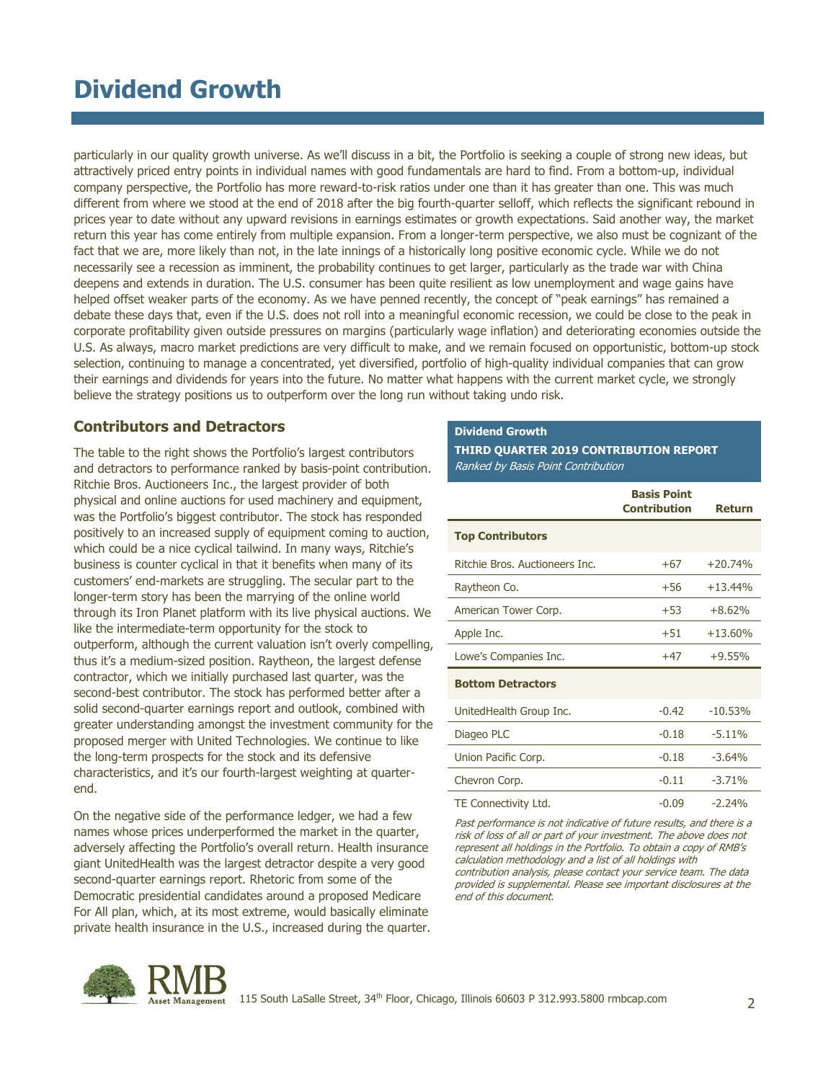# **Dividend Growth**

particularly in our quality growth universe. As we'll discuss in a bit, the Portfolio is seeking a couple of strong new ideas, but attractively priced entry points in individual names with good fundamentals are hard to find. From a bottom-up, individual company perspective, the Portfolio has more reward-to-risk ratios under one than it has greater than one. This was much different from where we stood at the end of 2018 after the big fourth-quarter selloff, which reflects the significant rebound in prices year to date without any upward revisions in earnings estimates or growth expectations. Said another way, the market return this year has come entirely from multiple expansion. From a longer-term perspective, we also must be cognizant of the fact that we are, more likely than not, in the late innings of a historically long positive economic cycle. While we do not necessarily see a recession as imminent, the probability continues to get larger, particularly as the trade war with China deepens and extends in duration. The U.S. consumer has been quite resilient as low unemployment and wage gains have helped offset weaker parts of the economy. As we have penned recently, the concept of "peak earnings" has remained a debate these days that, even if the U.S. does not roll into a meaningful economic recession, we could be close to the peak in corporate profitability given outside pressures on margins (particularly wage inflation) and deteriorating economies outside the U.S. As always, macro market predictions are very difficult to make, and we remain focused on opportunistic, bottom-up stock selection, continuing to manage a concentrated, yet diversified, portfolio of high-quality individual companies that can grow their earnings and dividends for years into the future. No matter what happens with the current market cycle, we strongly believe the strategy positions us to outperform over the long run without taking undo risk.

#### **Contributors and Detractors**

The table to the right shows the Portfolio's largest contributors and detractors to performance ranked by basis-point contribution. Ritchie Bros. Auctioneers Inc., the largest provider of both physical and online auctions for used machinery and equipment, was the Portfolio's biggest contributor. The stock has responded positively to an increased supply of equipment coming to auction, which could be a nice cyclical tailwind. In many ways, Ritchie's business is counter cyclical in that it benefits when many of its customers' end-markets are struggling. The secular part to the longer-term story has been the marrying of the online world through its Iron Planet platform with its live physical auctions. We like the intermediate-term opportunity for the stock to outperform, although the current valuation isn't overly compelling, thus it's a medium-sized position. Raytheon, the largest defense contractor, which we initially purchased last quarter, was the second-best contributor. The stock has performed better after a solid second-quarter earnings report and outlook, combined with greater understanding amongst the investment community for the proposed merger with United Technologies. We continue to like the long-term prospects for the stock and its defensive characteristics, and it's our fourth-largest weighting at quarterend.

On the negative side of the performance ledger, we had a few names whose prices underperformed the market in the quarter, adversely affecting the Portfolio's overall return. Health insurance giant UnitedHealth was the largest detractor despite a very good second-quarter earnings report. Rhetoric from some of the Democratic presidential candidates around a proposed Medicare For All plan, which, at its most extreme, would basically eliminate private health insurance in the U.S., increased during the quarter.

#### **Dividend Growth**

**THIRD QUARTER 2019 CONTRIBUTION REPORT** Ranked by Basis Point Contribution

|                                | <b>Basis Point</b><br><b>Contribution</b> | Return    |
|--------------------------------|-------------------------------------------|-----------|
| <b>Top Contributors</b>        |                                           |           |
| Ritchie Bros. Auctioneers Inc. | $+67$                                     | $+20.74%$ |
| Raytheon Co.                   | $+56$                                     | $+13.44%$ |
| American Tower Corp.           | $+53$                                     | $+8.62%$  |
| Apple Inc.                     | $+51$                                     | $+13.60%$ |
| Lowe's Companies Inc.          | $+47$                                     | $+9.55%$  |
| <b>Bottom Detractors</b>       |                                           |           |
| UnitedHealth Group Inc.        | $-0.42$                                   | $-10.53%$ |
| Diageo PLC                     | $-0.18$                                   | $-5.11%$  |
| Union Pacific Corp.            | $-0.18$                                   | $-3.64%$  |
| Chevron Corp.                  | $-0.11$                                   | $-3.71%$  |
| TE Connectivity Ltd.           | $-0.09$                                   | $-2.24%$  |

Past performance is not indicative of future results, and there is a risk of loss of all or part of your investment. The above does not represent all holdings in the Portfolio. To obtain a copy of RMB's calculation methodology and a list of all holdings with contribution analysis, please contact your service team. The data provided is supplemental. Please see important disclosures at the end of this document.

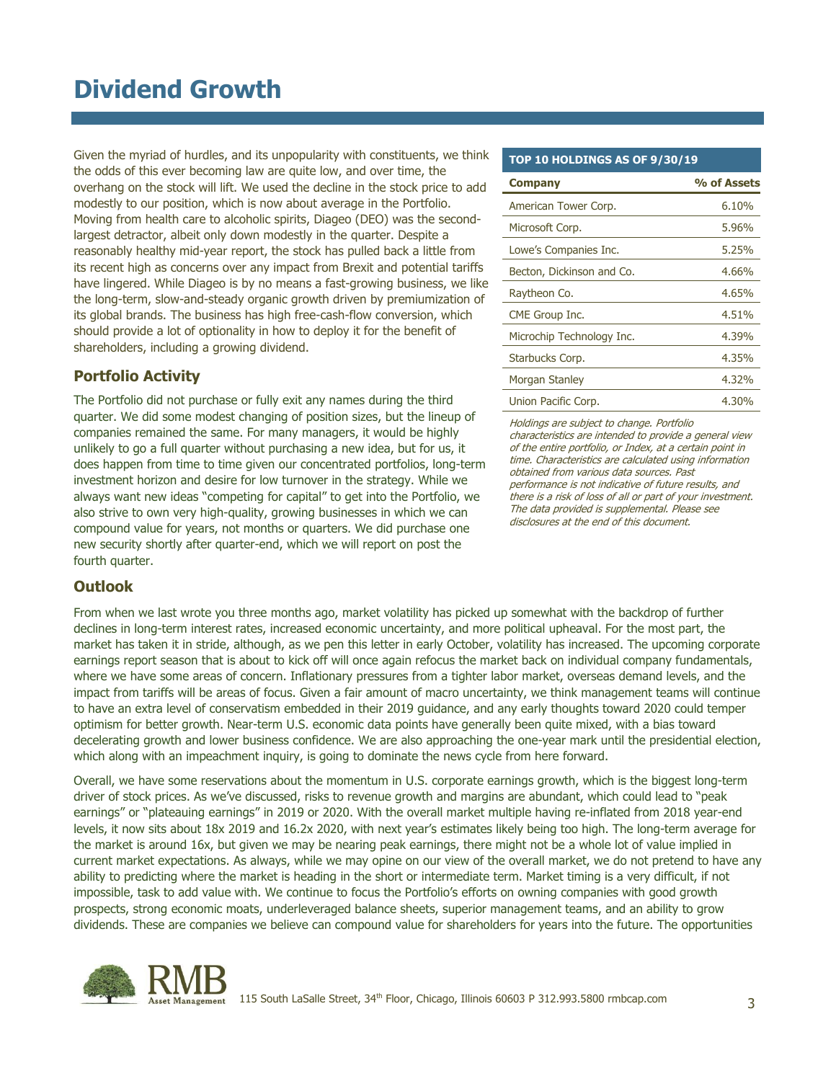# **Dividend Growth**

Given the myriad of hurdles, and its unpopularity with constituents, we think the odds of this ever becoming law are quite low, and over time, the overhang on the stock will lift. We used the decline in the stock price to add modestly to our position, which is now about average in the Portfolio. Moving from health care to alcoholic spirits, Diageo (DEO) was the secondlargest detractor, albeit only down modestly in the quarter. Despite a reasonably healthy mid-year report, the stock has pulled back a little from its recent high as concerns over any impact from Brexit and potential tariffs have lingered. While Diageo is by no means a fast-growing business, we like the long-term, slow-and-steady organic growth driven by premiumization of its global brands. The business has high free-cash-flow conversion, which should provide a lot of optionality in how to deploy it for the benefit of shareholders, including a growing dividend.

### **Portfolio Activity**

The Portfolio did not purchase or fully exit any names during the third quarter. We did some modest changing of position sizes, but the lineup of companies remained the same. For many managers, it would be highly unlikely to go a full quarter without purchasing a new idea, but for us, it does happen from time to time given our concentrated portfolios, long-term investment horizon and desire for low turnover in the strategy. While we always want new ideas "competing for capital" to get into the Portfolio, we also strive to own very high-quality, growing businesses in which we can compound value for years, not months or quarters. We did purchase one new security shortly after quarter-end, which we will report on post the fourth quarter.

### **Outlook**

From when we last wrote you three months ago, market volatility has picked up somewhat with the backdrop of further declines in long-term interest rates, increased economic uncertainty, and more political upheaval. For the most part, the market has taken it in stride, although, as we pen this letter in early October, volatility has increased. The upcoming corporate earnings report season that is about to kick off will once again refocus the market back on individual company fundamentals, where we have some areas of concern. Inflationary pressures from a tighter labor market, overseas demand levels, and the impact from tariffs will be areas of focus. Given a fair amount of macro uncertainty, we think management teams will continue to have an extra level of conservatism embedded in their 2019 guidance, and any early thoughts toward 2020 could temper optimism for better growth. Near-term U.S. economic data points have generally been quite mixed, with a bias toward decelerating growth and lower business confidence. We are also approaching the one-year mark until the presidential election, which along with an impeachment inquiry, is going to dominate the news cycle from here forward.

Overall, we have some reservations about the momentum in U.S. corporate earnings growth, which is the biggest long-term driver of stock prices. As we've discussed, risks to revenue growth and margins are abundant, which could lead to "peak earnings" or "plateauing earnings" in 2019 or 2020. With the overall market multiple having re-inflated from 2018 year-end levels, it now sits about 18x 2019 and 16.2x 2020, with next year's estimates likely being too high. The long-term average for the market is around 16x, but given we may be nearing peak earnings, there might not be a whole lot of value implied in current market expectations. As always, while we may opine on our view of the overall market, we do not pretend to have any ability to predicting where the market is heading in the short or intermediate term. Market timing is a very difficult, if not impossible, task to add value with. We continue to focus the Portfolio's efforts on owning companies with good growth prospects, strong economic moats, underleveraged balance sheets, superior management teams, and an ability to grow dividends. These are companies we believe can compound value for shareholders for years into the future. The opportunities



#### Management 115 South LaSalle Street, 34<sup>th</sup> Floor, Chicago, Illinois 60603 P 312.993.5800 rmbcap.com 3

### **TOP 10 HOLDINGS AS OF 9/30/19**

| <b>Company</b>            | % of Assets |
|---------------------------|-------------|
| American Tower Corp.      | 6.10%       |
| Microsoft Corp.           | 5.96%       |
| Lowe's Companies Inc.     | 5.25%       |
| Becton, Dickinson and Co. | 4.66%       |
| Raytheon Co.              | 4.65%       |
| CME Group Inc.            | 4.51%       |
| Microchip Technology Inc. | 4.39%       |
| Starbucks Corp.           | 4.35%       |
| Morgan Stanley            | 4,32%       |
| Union Pacific Corp.       | $4.30\%$    |

Holdings are subject to change. Portfolio characteristics are intended to provide a general view of the entire portfolio, or Index, at a certain point in time. Characteristics are calculated using information obtained from various data sources. Past performance is not indicative of future results, and there is a risk of loss of all or part of your investment. The data provided is supplemental. Please see disclosures at the end of this document.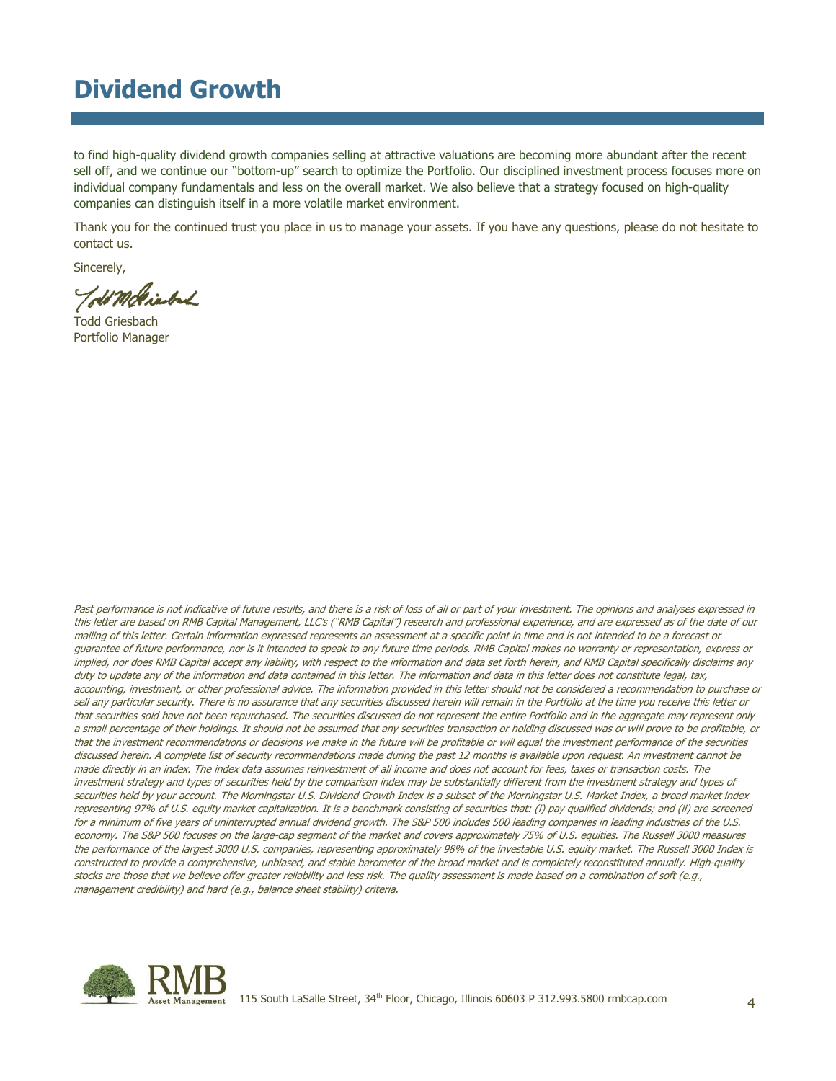## **Dividend Growth**

to find high-quality dividend growth companies selling at attractive valuations are becoming more abundant after the recent sell off, and we continue our "bottom-up" search to optimize the Portfolio. Our disciplined investment process focuses more on individual company fundamentals and less on the overall market. We also believe that a strategy focused on high-quality companies can distinguish itself in a more volatile market environment.

Thank you for the continued trust you place in us to manage your assets. If you have any questions, please do not hesitate to contact us.

Sincerely,

Todd Griesbach Portfolio Manager

Past performance is not indicative of future results, and there is a risk of loss of all or part of your investment. The opinions and analyses expressed in this letter are based on RMB Capital Management, LLC's ("RMB Capital") research and professional experience, and are expressed as of the date of our mailing of this letter. Certain information expressed represents an assessment at a specific point in time and is not intended to be a forecast or guarantee of future performance, nor is it intended to speak to any future time periods. RMB Capital makes no warranty or representation, express or implied, nor does RMB Capital accept any liability, with respect to the information and data set forth herein, and RMB Capital specifically disclaims any duty to update any of the information and data contained in this letter. The information and data in this letter does not constitute legal, tax, accounting, investment, or other professional advice. The information provided in this letter should not be considered a recommendation to purchase or sell any particular security. There is no assurance that any securities discussed herein will remain in the Portfolio at the time you receive this letter or that securities sold have not been repurchased. The securities discussed do not represent the entire Portfolio and in the aggregate may represent only a small percentage of their holdings. It should not be assumed that any securities transaction or holding discussed was or will prove to be profitable, or that the investment recommendations or decisions we make in the future will be profitable or will equal the investment performance of the securities discussed herein. A complete list of security recommendations made during the past 12 months is available upon request. An investment cannot be made directly in an index. The index data assumes reinvestment of all income and does not account for fees, taxes or transaction costs. The investment strategy and types of securities held by the comparison index may be substantially different from the investment strategy and types of securities held by your account. The Morningstar U.S. Dividend Growth Index is a subset of the Morningstar U.S. Market Index, a broad market index representing 97% of U.S. equity market capitalization. It is a benchmark consisting of securities that: (i) pay qualified dividends; and (ii) are screened for a minimum of five years of uninterrupted annual dividend growth. The S&P 500 includes 500 leading companies in leading industries of the U.S. economy. The S&P 500 focuses on the large-cap segment of the market and covers approximately 75% of U.S. equities. The Russell 3000 measures the performance of the largest 3000 U.S. companies, representing approximately 98% of the investable U.S. equity market. The Russell 3000 Index is constructed to provide a comprehensive, unbiased, and stable barometer of the broad market and is completely reconstituted annually. High-quality stocks are those that we believe offer greater reliability and less risk. The quality assessment is made based on a combination of soft (e.g., management credibility) and hard (e.g., balance sheet stability) criteria.